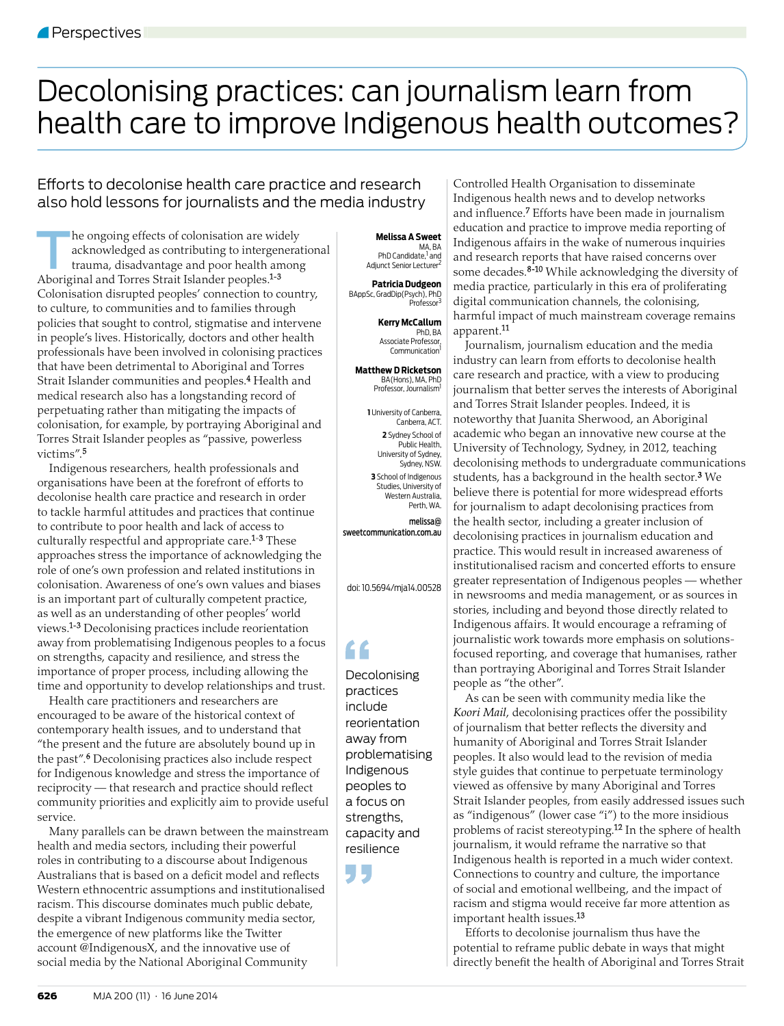## Decolonising practices: can journalism learn from health care to improve Indigenous health outcomes?

## Efforts to decolonise health care practice and research also hold lessons for journalists and the media industry

The ongoing effects of colonisation are widely<br>acknowledged as contributing to intergenerate trauma, disadvantage and poor health among acknowledged as contributing to intergenerational trauma, disadvantage and poor health among Aboriginal and Torres Strait Islander peoples.<sup>1-3</sup> Colonisation disrupted peoples' connection to country, to culture, to communities and to families through policies that sought to control, stigmatise and intervene in people's lives. Historically, doctors and other health professionals have been involved in colonising practices that have been detrimental to Aboriginal and Torres Strait Islander communities and peoples.<sup>4</sup> Health and medical research also has a longstanding record of perpetuating rather than mitigating the impacts of colonisation, for example, by portraying Aboriginal and Torres Strait Islander peoples as "passive, powerless victims".<sup>5</sup>

Indigenous researchers, health professionals and organisations have been at the forefront of efforts to decolonise health care practice and research in order to tackle harmful attitudes and practices that continue to contribute to poor health and lack of access to culturally respectful and appropriate care.<sup>1-3</sup> These approaches stress the importance of acknowledging the role of one's own profession and related institutions in colonisation. Awareness of one's own values and biases is an important part of culturally competent practice, as well as an understanding of other peoples' world views.1-3 Decolonising practices include reorientation away from problematising Indigenous peoples to a focus on strengths, capacity and resilience, and stress the importance of proper process, including allowing the time and opportunity to develop relationships and trust.

Health care practitioners and researchers are encouraged to be aware of the historical context of contemporary health issues, and to understand that "the present and the future are absolutely bound up in the past".6 Decolonising practices also include respect for Indigenous knowledge and stress the importance of reciprocity - that research and practice should reflect community priorities and explicitly aim to provide useful service.

Many parallels can be drawn between the mainstream health and media sectors, including their powerful roles in contributing to a discourse about Indigenous Australians that is based on a deficit model and reflects Western ethnocentric assumptions and institutionalised racism. This discourse dominates much public debate, despite a vibrant Indigenous community media sector, the emergence of new platforms like the Twitter account @IndigenousX, and the innovative use of social media by the National Aboriginal Community

## **Melissa A Sweet**

MA, BA<br>PhD Candidate,<sup>1</sup> and Adjunct Senior Lecturer

**Patricia Dudgeon** BAppSc, GradDip(Psych), PhD

> **Kerry McCallum** PhD, BA Associate Professor, Communication

Professor

**Matthew D Ricketson** BA(Hons), MA, PhD Professor, Journalism1

> **1** University of Canberra, Canberra, ACT. **2** Sydney School of Public Health, University of Sydney, Sydney, NSW. **3** School of Indigenous Studies, University of Western Australia, Perth, WA.

melissa@ sweetcommunication.com.au

doi: 10.5694/mja14.00528

## "

Decolonising practices include reorientation away from problematising Indigenous peoples to a focus on strengths, capacity and resilience

Ь

Controlled Health Organisation to disseminate Indigenous health news and to develop networks and influence.<sup>7</sup> Efforts have been made in journalism education and practice to improve media reporting of Indigenous affairs in the wake of numerous inquiries and research reports that have raised concerns over some decades.<sup>8-10</sup> While acknowledging the diversity of media practice, particularly in this era of proliferating digital communication channels, the colonising, harmful impact of much mainstream coverage remains apparent.11

Journalism, journalism education and the media industry can learn from efforts to decolonise health care research and practice, with a view to producing journalism that better serves the interests of Aboriginal and Torres Strait Islander peoples. Indeed, it is noteworthy that Juanita Sherwood, an Aboriginal academic who began an innovative new course at the University of Technology, Sydney, in 2012, teaching decolonising methods to undergraduate communications students, has a background in the health sector.<sup>3</sup> We believe there is potential for more widespread efforts for journalism to adapt decolonising practices from the health sector, including a greater inclusion of decolonising practices in journalism education and practice. This would result in increased awareness of institutionalised racism and concerted efforts to ensure greater representation of Indigenous peoples — whether in newsrooms and media management, or as sources in stories, including and beyond those directly related to Indigenous affairs. It would encourage a reframing of journalistic work towards more emphasis on solutionsfocused reporting, and coverage that humanises, rather than portraying Aboriginal and Torres Strait Islander people as "the other".

As can be seen with community media like the *Koori Mail*, decolonising practices offer the possibility of journalism that better reflects the diversity and humanity of Aboriginal and Torres Strait Islander peoples. It also would lead to the revision of media style guides that continue to perpetuate terminology viewed as offensive by many Aboriginal and Torres Strait Islander peoples, from easily addressed issues such as "indigenous" (lower case "i") to the more insidious problems of racist stereotyping.<sup>12</sup> In the sphere of health journalism, it would reframe the narrative so that Indigenous health is reported in a much wider context. Connections to country and culture, the importance of social and emotional wellbeing, and the impact of racism and stigma would receive far more attention as important health issues.13

Efforts to decolonise journalism thus have the potential to reframe public debate in ways that might directly benefit the health of Aboriginal and Torres Strait